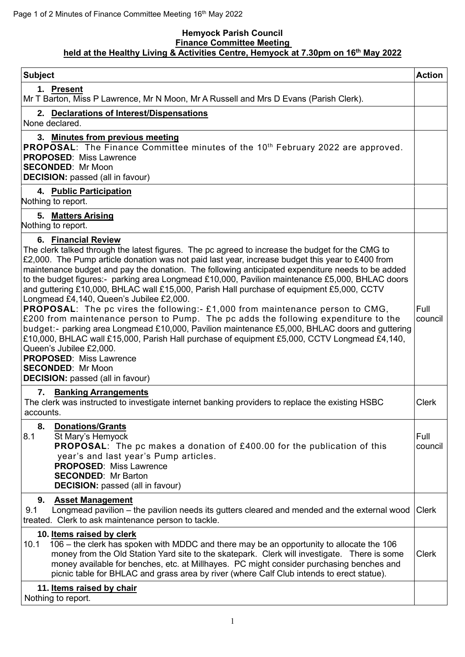## **Hemyock Parish Council Finance Committee Meeting held at the Healthy Living & Activities Centre, Hemyock at 7.30pm on 16 th May 2022**

| <b>Subject</b>                                                                                                                                                                                                                                                                                                                                                                                                                                                                                                                                                                                                                                                                                                                                                                                                                                                                                                                                                                                                                                                                                                                                                                                                                          | <b>Action</b>                   |
|-----------------------------------------------------------------------------------------------------------------------------------------------------------------------------------------------------------------------------------------------------------------------------------------------------------------------------------------------------------------------------------------------------------------------------------------------------------------------------------------------------------------------------------------------------------------------------------------------------------------------------------------------------------------------------------------------------------------------------------------------------------------------------------------------------------------------------------------------------------------------------------------------------------------------------------------------------------------------------------------------------------------------------------------------------------------------------------------------------------------------------------------------------------------------------------------------------------------------------------------|---------------------------------|
| 1. Present<br>Mr T Barton, Miss P Lawrence, Mr N Moon, Mr A Russell and Mrs D Evans (Parish Clerk).                                                                                                                                                                                                                                                                                                                                                                                                                                                                                                                                                                                                                                                                                                                                                                                                                                                                                                                                                                                                                                                                                                                                     |                                 |
| 2. Declarations of Interest/Dispensations<br>None declared.                                                                                                                                                                                                                                                                                                                                                                                                                                                                                                                                                                                                                                                                                                                                                                                                                                                                                                                                                                                                                                                                                                                                                                             |                                 |
| 3. Minutes from previous meeting<br>PROPOSAL: The Finance Committee minutes of the 10 <sup>th</sup> February 2022 are approved.<br><b>PROPOSED: Miss Lawrence</b><br><b>SECONDED: Mr Moon</b><br><b>DECISION:</b> passed (all in favour)                                                                                                                                                                                                                                                                                                                                                                                                                                                                                                                                                                                                                                                                                                                                                                                                                                                                                                                                                                                                |                                 |
| 4. Public Participation<br>Nothing to report.                                                                                                                                                                                                                                                                                                                                                                                                                                                                                                                                                                                                                                                                                                                                                                                                                                                                                                                                                                                                                                                                                                                                                                                           |                                 |
| 5. Matters Arising<br>Nothing to report.                                                                                                                                                                                                                                                                                                                                                                                                                                                                                                                                                                                                                                                                                                                                                                                                                                                                                                                                                                                                                                                                                                                                                                                                |                                 |
| 6. Financial Review<br>The clerk talked through the latest figures. The pc agreed to increase the budget for the CMG to<br>£2,000. The Pump article donation was not paid last year, increase budget this year to £400 from<br>maintenance budget and pay the donation. The following anticipated expenditure needs to be added<br>to the budget figures:- parking area Longmead £10,000, Pavilion maintenance £5,000, BHLAC doors<br>and guttering £10,000, BHLAC wall £15,000, Parish Hall purchase of equipment £5,000, CCTV<br>Longmead £4,140, Queen's Jubilee £2,000.<br><b>PROPOSAL:</b> The pc vires the following:- £1,000 from maintenance person to CMG,<br>£200 from maintenance person to Pump. The pc adds the following expenditure to the<br>budget:- parking area Longmead £10,000, Pavilion maintenance £5,000, BHLAC doors and guttering<br>£10,000, BHLAC wall £15,000, Parish Hall purchase of equipment £5,000, CCTV Longmead £4,140,<br>Queen's Jubilee £2,000.<br><b>PROPOSED: Miss Lawrence</b><br><b>SECONDED: Mr Moon</b><br><b>DECISION:</b> passed (all in favour)<br><b>Banking Arrangements</b><br>7.<br>The clerk was instructed to investigate internet banking providers to replace the existing HSBC | Full<br>council<br><b>Clerk</b> |
| accounts.<br>8.<br><b>Donations/Grants</b><br>8.1<br>St Mary's Hemyock<br><b>PROPOSAL:</b> The pc makes a donation of £400.00 for the publication of this<br>year's and last year's Pump articles.<br><b>PROPOSED: Miss Lawrence</b><br><b>SECONDED: Mr Barton</b><br><b>DECISION:</b> passed (all in favour)                                                                                                                                                                                                                                                                                                                                                                                                                                                                                                                                                                                                                                                                                                                                                                                                                                                                                                                           | Full<br>council                 |
| 9.<br><b>Asset Management</b><br>Longmead pavilion - the pavilion needs its gutters cleared and mended and the external wood<br>9.1<br>treated. Clerk to ask maintenance person to tackle.                                                                                                                                                                                                                                                                                                                                                                                                                                                                                                                                                                                                                                                                                                                                                                                                                                                                                                                                                                                                                                              | Clerk                           |
| 10. Items raised by clerk<br>106 – the clerk has spoken with MDDC and there may be an opportunity to allocate the 106<br>10.1<br>money from the Old Station Yard site to the skatepark. Clerk will investigate. There is some<br>money available for benches, etc. at Millhayes. PC might consider purchasing benches and<br>picnic table for BHLAC and grass area by river (where Calf Club intends to erect statue).                                                                                                                                                                                                                                                                                                                                                                                                                                                                                                                                                                                                                                                                                                                                                                                                                  | <b>Clerk</b>                    |
| 11. Items raised by chair<br>Nothing to report.                                                                                                                                                                                                                                                                                                                                                                                                                                                                                                                                                                                                                                                                                                                                                                                                                                                                                                                                                                                                                                                                                                                                                                                         |                                 |